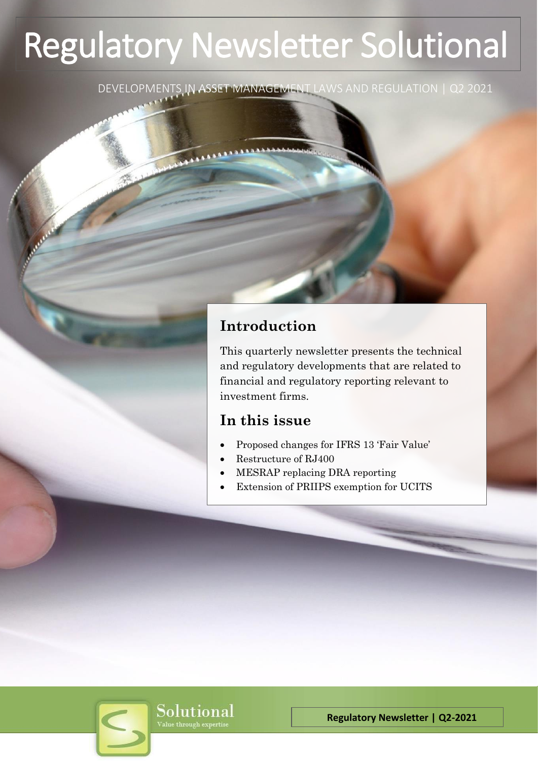# Regulatory Newsletter Solutional

DEVELOPMENTS IN ASSET MANAGEMENT LAWS AND REGULATION | Q2 2021

# **Introduction**

This quarterly newsletter presents the technical and regulatory developments that are related to financial and regulatory reporting relevant to investment firms.

# **In this issue**

- Proposed changes for IFRS 13 'Fair Value'
- Restructure of RJ400
- MESRAP replacing DRA reporting
- Extension of PRIIPS exemption for UCITS

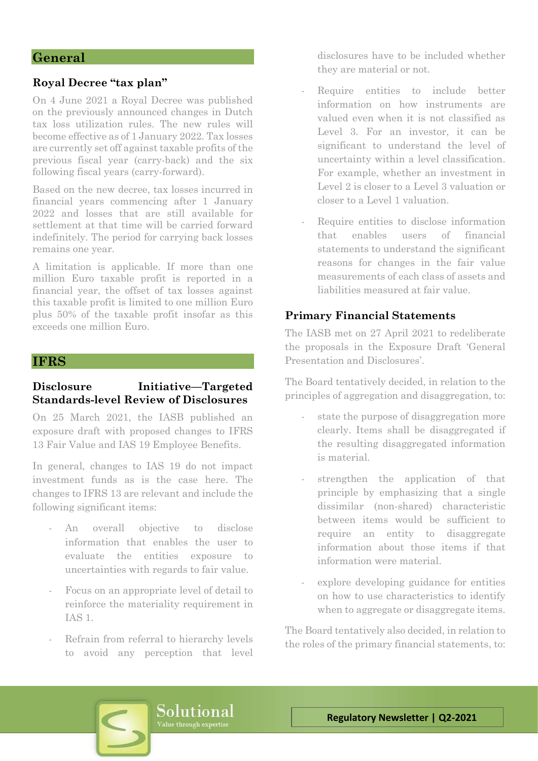## **General**

#### **Royal Decree "tax plan"**

On 4 June 2021 a Royal Decree was published on the previously announced changes in Dutch tax loss utilization rules. The new rules will become effective as of 1 January 2022. Tax losses are currently set off against taxable profits of the previous fiscal year (carry-back) and the six following fiscal years (carry-forward).

Based on the new decree, tax losses incurred in financial years commencing after 1 January 2022 and losses that are still available for settlement at that time will be carried forward indefinitely. The period for carrying back losses remains one year.

A limitation is applicable. If more than one million Euro taxable profit is reported in a financial year, the offset of tax losses against this taxable profit is limited to one million Euro plus 50% of the taxable profit insofar as this exceeds one million Euro.

#### **IFRS**

## **Disclosure Initiative—Targeted Standards-level Review of Disclosures**

On 25 March 2021, the IASB published an exposure draft with proposed changes to IFRS 13 Fair Value and IAS 19 Employee Benefits.

In general, changes to IAS 19 do not impact investment funds as is the case here. The changes to IFRS 13 are relevant and include the following significant items:

- An overall objective to disclose information that enables the user to evaluate the entities exposure to uncertainties with regards to fair value.
- Focus on an appropriate level of detail to reinforce the materiality requirement in IAS 1.
- Refrain from referral to hierarchy levels to avoid any perception that level

disclosures have to be included whether they are material or not.

- Require entities to include better information on how instruments are valued even when it is not classified as Level 3. For an investor, it can be significant to understand the level of uncertainty within a level classification. For example, whether an investment in Level 2 is closer to a Level 3 valuation or closer to a Level 1 valuation.
- Require entities to disclose information that enables users of financial statements to understand the significant reasons for changes in the fair value measurements of each class of assets and liabilities measured at fair value.

## **Primary Financial Statements**

The IASB met on 27 April 2021 to redeliberate the proposals in the Exposure Draft 'General Presentation and Disclosures'.

The Board tentatively decided, in relation to the principles of aggregation and disaggregation, to:

- state the purpose of disaggregation more clearly. Items shall be disaggregated if the resulting disaggregated information is material.
- strengthen the application of that principle by emphasizing that a single dissimilar (non-shared) characteristic between items would be sufficient to require an entity to disaggregate information about those items if that information were material.
- explore developing guidance for entities on how to use characteristics to identify when to aggregate or disaggregate items.

The Board tentatively also decided, in relation to the roles of the primary financial statements, to:

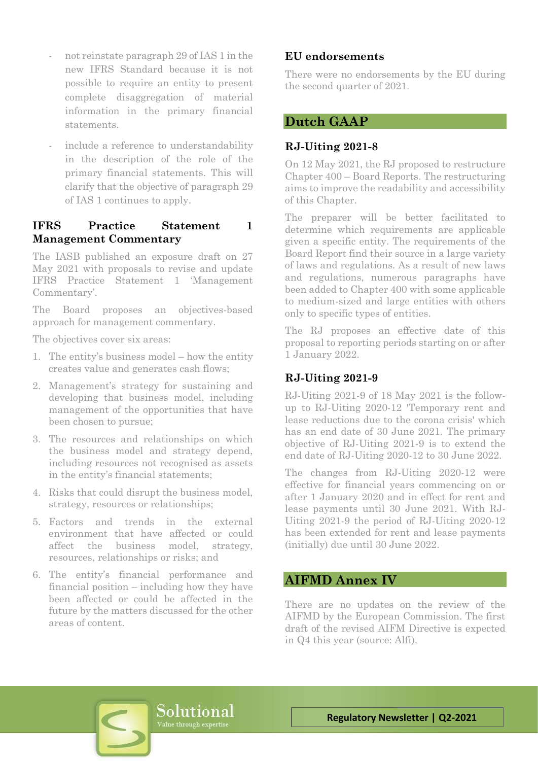- not reinstate paragraph 29 of IAS 1 in the new IFRS Standard because it is not possible to require an entity to present complete disaggregation of material information in the primary financial statements.
- include a reference to understandability in the description of the role of the primary financial statements. This will clarify that the objective of paragraph 29 of IAS 1 continues to apply.

## **IFRS Practice Statement 1 Management Commentary**

The IASB published an exposure draft on 27 May 2021 with proposals to revise and update IFRS Practice Statement 1 'Management Commentary'.

The Board proposes an objectives-based approach for management commentary.

The objectives cover six areas:

- 1. The entity's business model how the entity creates value and generates cash flows;
- 2. Management's strategy for sustaining and developing that business model, including management of the opportunities that have been chosen to pursue;
- 3. The resources and relationships on which the business model and strategy depend, including resources not recognised as assets in the entity's financial statements;
- 4. Risks that could disrupt the business model, strategy, resources or relationships;
- 5. Factors and trends in the external environment that have affected or could affect the business model, strategy, resources, relationships or risks; and
- 6. The entity's financial performance and financial position – including how they have been affected or could be affected in the future by the matters discussed for the other areas of content.

## **EU endorsements**

There were no endorsements by the EU during the second quarter of 2021.

## **Dutch GAAP**

## **RJ-Uiting 2021-8**

On 12 May 2021, the RJ proposed to restructure Chapter 400 – Board Reports. The restructuring aims to improve the readability and accessibility of this Chapter.

The preparer will be better facilitated to determine which requirements are applicable given a specific entity. The requirements of the Board Report find their source in a large variety of laws and regulations. As a result of new laws and regulations, numerous paragraphs have been added to Chapter 400 with some applicable to medium-sized and large entities with others only to specific types of entities.

The RJ proposes an effective date of this proposal to reporting periods starting on or after 1 January 2022.

## **RJ-Uiting 2021-9**

RJ-Uiting 2021-9 of 18 May 2021 is the followup to RJ-Uiting 2020-12 'Temporary rent and lease reductions due to the corona crisis' which has an end date of 30 June 2021. The primary objective of RJ-Uiting 2021-9 is to extend the end date of RJ-Uiting 2020-12 to 30 June 2022.

The changes from RJ-Uiting 2020-12 were effective for financial years commencing on or after 1 January 2020 and in effect for rent and lease payments until 30 June 2021. With RJ-Uiting 2021-9 the period of RJ-Uiting 2020-12 has been extended for rent and lease payments (initially) due until 30 June 2022.

## **AIFMD Annex IV**

There are no updates on the review of the AIFMD by the European Commission. The first draft of the revised AIFM Directive is expected in Q4 this year (source: Alfi).

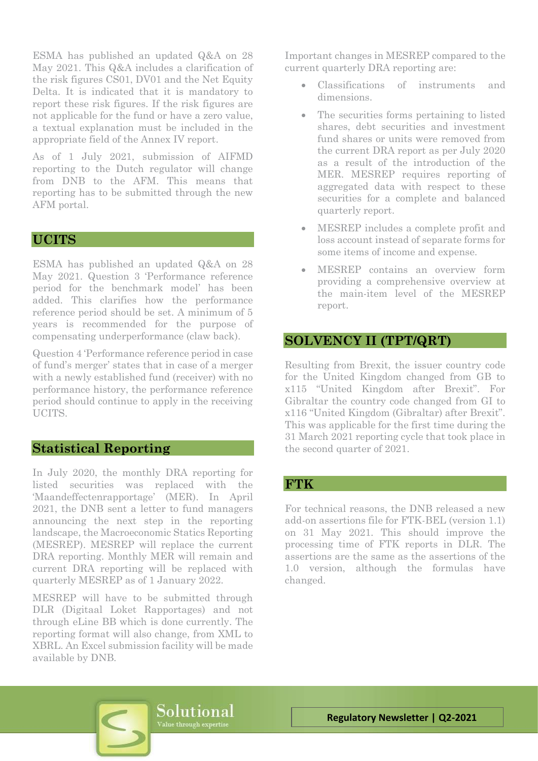ESMA has published an updated Q&A on 28 May 2021. This Q&A includes a clarification of the risk figures CS01, DV01 and the Net Equity Delta. It is indicated that it is mandatory to report these risk figures. If the risk figures are not applicable for the fund or have a zero value, a textual explanation must be included in the appropriate field of the Annex IV report.

As of 1 July 2021, submission of AIFMD reporting to the Dutch regulator will change from DNB to the AFM. This means that reporting has to be submitted through the new AFM portal.

## **UCITS**

ESMA has published an updated Q&A on 28 May 2021. Question 3 'Performance reference period for the benchmark model' has been added. This clarifies how the performance reference period should be set. A minimum of 5 years is recommended for the purpose of compensating underperformance (claw back).

Question 4 'Performance reference period in case of fund's merger' states that in case of a merger with a newly established fund (receiver) with no performance history, the performance reference period should continue to apply in the receiving UCITS.

## **Statistical Reporting**

In July 2020, the monthly DRA reporting for listed securities was replaced with the 'Maandeffectenrapportage' (MER). In April 2021, the DNB sent a letter to fund managers announcing the next step in the reporting landscape, the Macroeconomic Statics Reporting (MESREP). MESREP will replace the current DRA reporting. Monthly MER will remain and current DRA reporting will be replaced with quarterly MESREP as of 1 January 2022.

MESREP will have to be submitted through DLR (Digitaal Loket Rapportages) and not through eLine BB which is done currently. The reporting format will also change, from XML to XBRL. An Excel submission facility will be made available by DNB.

Important changes in MESREP compared to the current quarterly DRA reporting are:

- Classifications of instruments and dimensions.
- The securities forms pertaining to listed shares, debt securities and investment fund shares or units were removed from the current DRA report as per July 2020 as a result of the introduction of the MER. MESREP requires reporting of aggregated data with respect to these securities for a complete and balanced quarterly report.
- MESREP includes a complete profit and loss account instead of separate forms for some items of income and expense.
- MESREP contains an overview form providing a comprehensive overview at the main-item level of the MESREP report.

## **SOLVENCY II (TPT/QRT)**

Resulting from Brexit, the issuer country code for the United Kingdom changed from GB to x115 "United Kingdom after Brexit". For Gibraltar the country code changed from GI to x116 "United Kingdom (Gibraltar) after Brexit". This was applicable for the first time during the 31 March 2021 reporting cycle that took place in the second quarter of 2021.

## **FTK**

For technical reasons, the DNB released a new add-on assertions file for FTK-BEL (version 1.1) on 31 May 2021. This should improve the processing time of FTK reports in DLR. The assertions are the same as the assertions of the 1.0 version, although the formulas have changed.

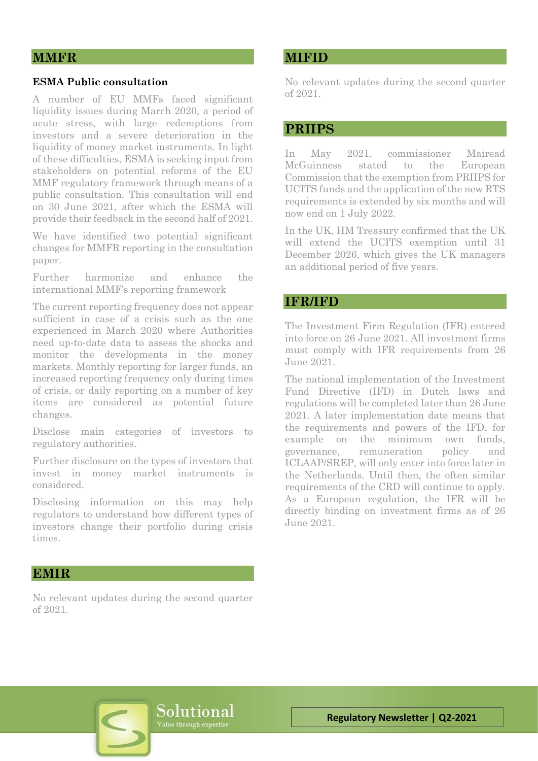## **MMFR**

#### **ESMA Public consultation**

A number of EU MMFs faced significant liquidity issues during March 2020, a period of acute stress, with large redemptions from investors and a severe deterioration in the liquidity of money market instruments. In light of these difficulties, ESMA is seeking input from stakeholders on potential reforms of the EU MMF regulatory framework through means of a public consultation. This consultation will end on 30 June 2021, after which the ESMA will provide their feedback in the second half of 2021.

We have identified two potential significant changes for MMFR reporting in the consultation paper.

Further harmonize and enhance the international MMF's reporting framework

The current reporting frequency does not appear sufficient in case of a crisis such as the one experienced in March 2020 where Authorities need up-to-date data to assess the shocks and monitor the developments in the money markets. Monthly reporting for larger funds, an increased reporting frequency only during times of crisis, or daily reporting on a number of key items are considered as potential future changes.

Disclose main categories of investors to regulatory authorities.

Further disclosure on the types of investors that invest in money market instruments is considered.

Disclosing information on this may help regulators to understand how different types of investors change their portfolio during crisis times.

## **MIFID**

No relevant updates during the second quarter of 2021.

## **PRIIPS**

In May 2021, commissioner Mairead McGuinness stated to the European Commission that the exemption from PRIIPS for UCITS funds and the application of the new RTS requirements is extended by six months and will now end on 1 July 2022.

In the UK, HM Treasury confirmed that the UK will extend the UCITS exemption until 31 December 2026, which gives the UK managers an additional period of five years.

## **IFR/IFD**

The Investment Firm Regulation (IFR) entered into force on 26 June 2021. All investment firms must comply with IFR requirements from 26 June 2021.

The national implementation of the Investment Fund Directive (IFD) in Dutch laws and regulations will be completed later than 26 June 2021. A later implementation date means that the requirements and powers of the IFD, for example on the minimum own funds, governance, remuneration policy and ICLAAP/SREP, will only enter into force later in the Netherlands. Until then, the often similar requirements of the CRD will continue to apply. As a European regulation, the IFR will be directly binding on investment firms as of 26 June 2021.

#### **EMIR**

No relevant updates during the second quarter of 2021.